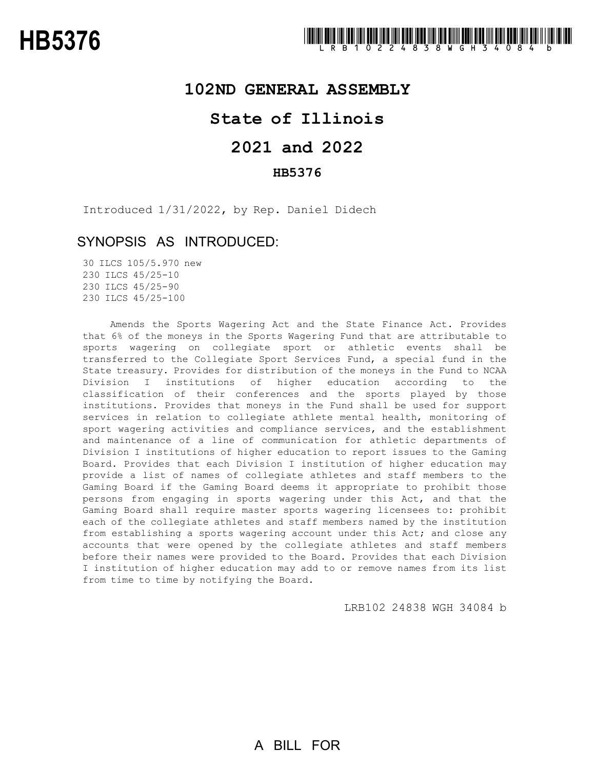### **102ND GENERAL ASSEMBLY**

## **State of Illinois**

# **2021 and 2022**

### **HB5376**

Introduced 1/31/2022, by Rep. Daniel Didech

### SYNOPSIS AS INTRODUCED:

 ILCS 105/5.970 new ILCS 45/25-10 ILCS 45/25-90 ILCS 45/25-100

Amends the Sports Wagering Act and the State Finance Act. Provides that 6% of the moneys in the Sports Wagering Fund that are attributable to sports wagering on collegiate sport or athletic events shall be transferred to the Collegiate Sport Services Fund, a special fund in the State treasury. Provides for distribution of the moneys in the Fund to NCAA Division I institutions of higher education according to the classification of their conferences and the sports played by those institutions. Provides that moneys in the Fund shall be used for support services in relation to collegiate athlete mental health, monitoring of sport wagering activities and compliance services, and the establishment and maintenance of a line of communication for athletic departments of Division I institutions of higher education to report issues to the Gaming Board. Provides that each Division I institution of higher education may provide a list of names of collegiate athletes and staff members to the Gaming Board if the Gaming Board deems it appropriate to prohibit those persons from engaging in sports wagering under this Act, and that the Gaming Board shall require master sports wagering licensees to: prohibit each of the collegiate athletes and staff members named by the institution from establishing a sports wagering account under this Act; and close any accounts that were opened by the collegiate athletes and staff members before their names were provided to the Board. Provides that each Division I institution of higher education may add to or remove names from its list from time to time by notifying the Board.

LRB102 24838 WGH 34084 b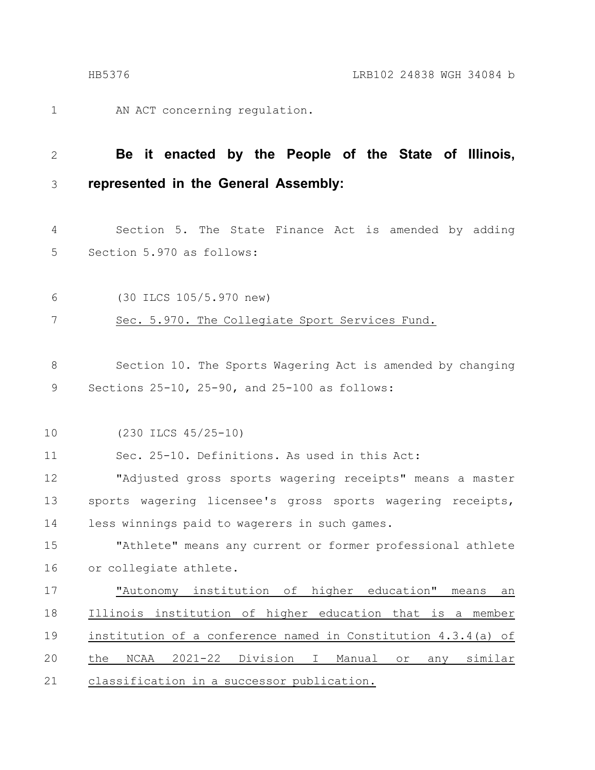AN ACT concerning regulation. 1

#### **Be it enacted by the People of the State of Illinois, represented in the General Assembly:** 2 3

Section 5. The State Finance Act is amended by adding Section 5.970 as follows: 4 5

(30 ILCS 105/5.970 new) 6

Sec. 5.970. The Collegiate Sport Services Fund. 7

Section 10. The Sports Wagering Act is amended by changing Sections 25-10, 25-90, and 25-100 as follows: 8 9

(230 ILCS 45/25-10) 10

Sec. 25-10. Definitions. As used in this Act: 11

"Adjusted gross sports wagering receipts" means a master sports wagering licensee's gross sports wagering receipts, less winnings paid to wagerers in such games. 12 13 14

"Athlete" means any current or former professional athlete or collegiate athlete. 15 16

"Autonomy institution of higher education" means an Illinois institution of higher education that is a member institution of a conference named in Constitution 4.3.4(a) of the NCAA 2021-22 Division I Manual or any similar classification in a successor publication. 17 18 19 20 21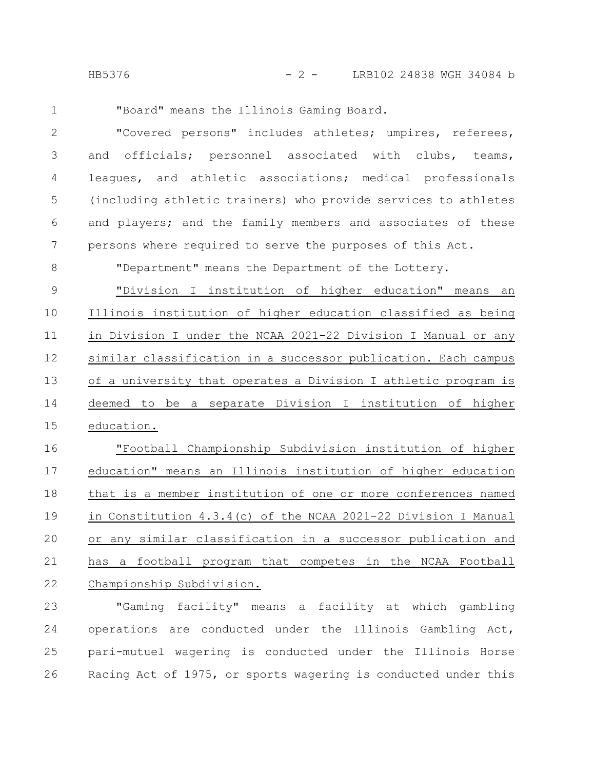HB5376 - 2 - LRB102 24838 WGH 34084 b

1

"Board" means the Illinois Gaming Board.

"Covered persons" includes athletes; umpires, referees, and officials; personnel associated with clubs, teams, leagues, and athletic associations; medical professionals (including athletic trainers) who provide services to athletes and players; and the family members and associates of these persons where required to serve the purposes of this Act. 2 3 4 5 6 7

"Department" means the Department of the Lottery. 8

"Division I institution of higher education" means an Illinois institution of higher education classified as being in Division I under the NCAA 2021-22 Division I Manual or any similar classification in a successor publication. Each campus of a university that operates a Division I athletic program is deemed to be a separate Division I institution of higher education. 9 10 11 12 13 14 15

"Football Championship Subdivision institution of higher education" means an Illinois institution of higher education that is a member institution of one or more conferences named in Constitution 4.3.4(c) of the NCAA 2021-22 Division I Manual or any similar classification in a successor publication and has a football program that competes in the NCAA Football Championship Subdivision. 16 17 18 19 20 21 22

"Gaming facility" means a facility at which gambling operations are conducted under the Illinois Gambling Act, pari-mutuel wagering is conducted under the Illinois Horse Racing Act of 1975, or sports wagering is conducted under this 23 24 25 26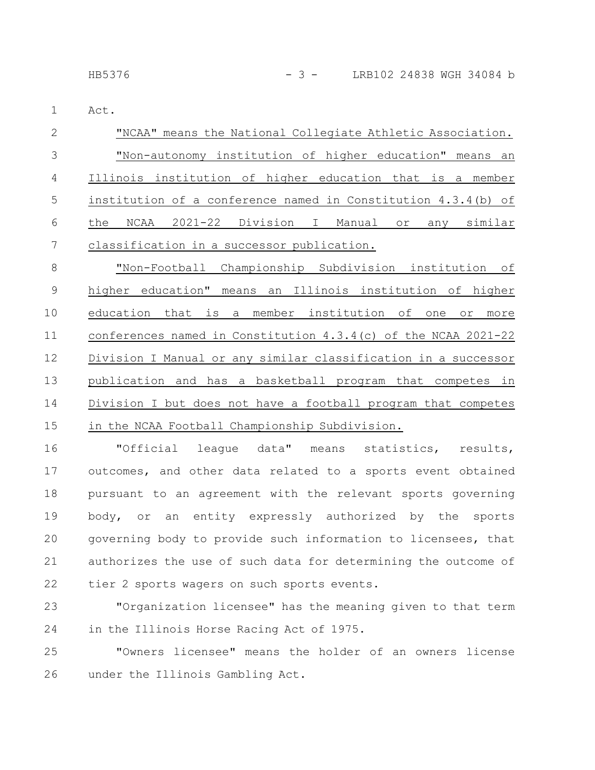Act. 1

| -2 | "NCAA" means the National Collegiate Athletic Association.       |  |  |  |  |  |  |  |  |  |
|----|------------------------------------------------------------------|--|--|--|--|--|--|--|--|--|
|    | "Non-autonomy institution of higher education" means an          |  |  |  |  |  |  |  |  |  |
| 4  | Illinois institution of higher education that is a member        |  |  |  |  |  |  |  |  |  |
| -5 | institution of a conference named in Constitution $4.3.4$ (b) of |  |  |  |  |  |  |  |  |  |
| 6  | NCAA 2021-22 Division I Manual or any similar<br>the             |  |  |  |  |  |  |  |  |  |
|    | classification in a successor publication.                       |  |  |  |  |  |  |  |  |  |

"Non-Football Championship Subdivision institution of higher education" means an Illinois institution of higher education that is a member institution of one or more conferences named in Constitution 4.3.4(c) of the NCAA 2021-22 Division I Manual or any similar classification in a successor publication and has a basketball program that competes in Division I but does not have a football program that competes in the NCAA Football Championship Subdivision. 8 9 10 11 12 13 14 15

"Official league data" means statistics, results, outcomes, and other data related to a sports event obtained pursuant to an agreement with the relevant sports governing body, or an entity expressly authorized by the sports governing body to provide such information to licensees, that authorizes the use of such data for determining the outcome of tier 2 sports wagers on such sports events. 16 17 18 19 20 21 22

"Organization licensee" has the meaning given to that term in the Illinois Horse Racing Act of 1975. 23 24

"Owners licensee" means the holder of an owners license under the Illinois Gambling Act. 25 26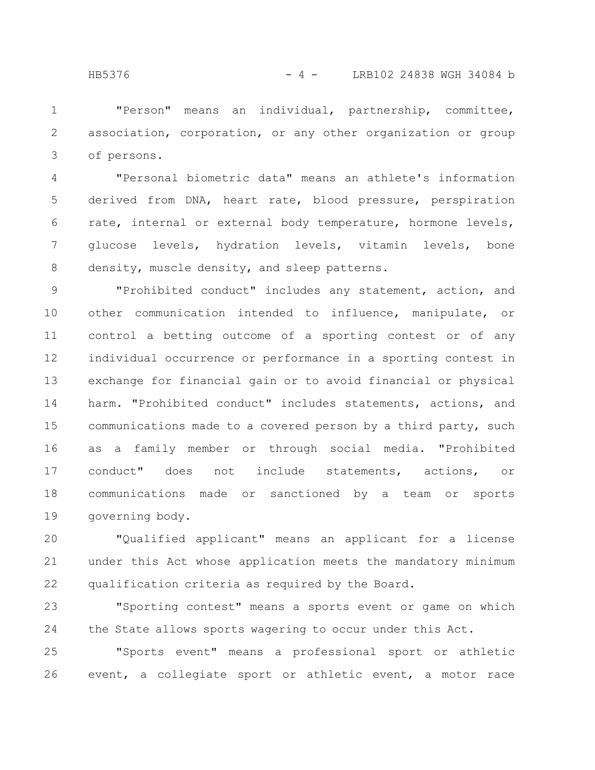"Person" means an individual, partnership, committee, association, corporation, or any other organization or group of persons. 1 2 3

"Personal biometric data" means an athlete's information derived from DNA, heart rate, blood pressure, perspiration rate, internal or external body temperature, hormone levels, glucose levels, hydration levels, vitamin levels, bone density, muscle density, and sleep patterns. 4 5 6 7 8

"Prohibited conduct" includes any statement, action, and other communication intended to influence, manipulate, or control a betting outcome of a sporting contest or of any individual occurrence or performance in a sporting contest in exchange for financial gain or to avoid financial or physical harm. "Prohibited conduct" includes statements, actions, and communications made to a covered person by a third party, such as a family member or through social media. "Prohibited conduct" does not include statements, actions, or communications made or sanctioned by a team or sports governing body. 9 10 11 12 13 14 15 16 17 18 19

"Qualified applicant" means an applicant for a license under this Act whose application meets the mandatory minimum qualification criteria as required by the Board. 20 21 22

"Sporting contest" means a sports event or game on which the State allows sports wagering to occur under this Act. 23 24

"Sports event" means a professional sport or athletic event, a collegiate sport or athletic event, a motor race 25 26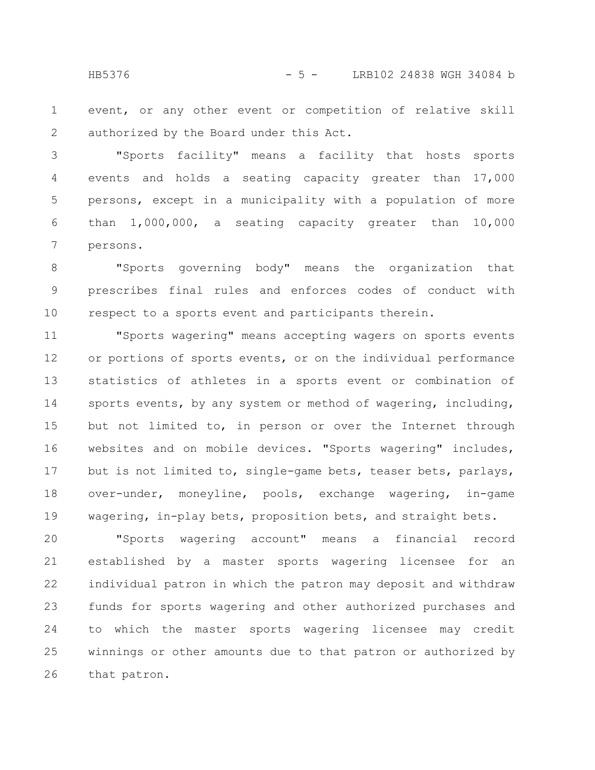HB5376 - 5 - LRB102 24838 WGH 34084 b

event, or any other event or competition of relative skill authorized by the Board under this Act. 1 2

"Sports facility" means a facility that hosts sports events and holds a seating capacity greater than 17,000 persons, except in a municipality with a population of more than 1,000,000, a seating capacity greater than 10,000 persons. 3 4 5 6 7

"Sports governing body" means the organization that prescribes final rules and enforces codes of conduct with respect to a sports event and participants therein. 8 9 10

"Sports wagering" means accepting wagers on sports events or portions of sports events, or on the individual performance statistics of athletes in a sports event or combination of sports events, by any system or method of wagering, including, but not limited to, in person or over the Internet through websites and on mobile devices. "Sports wagering" includes, but is not limited to, single-game bets, teaser bets, parlays, over-under, moneyline, pools, exchange wagering, in-game wagering, in-play bets, proposition bets, and straight bets. 11 12 13 14 15 16 17 18 19

"Sports wagering account" means a financial record established by a master sports wagering licensee for an individual patron in which the patron may deposit and withdraw funds for sports wagering and other authorized purchases and to which the master sports wagering licensee may credit winnings or other amounts due to that patron or authorized by that patron. 20 21 22 23 24 25 26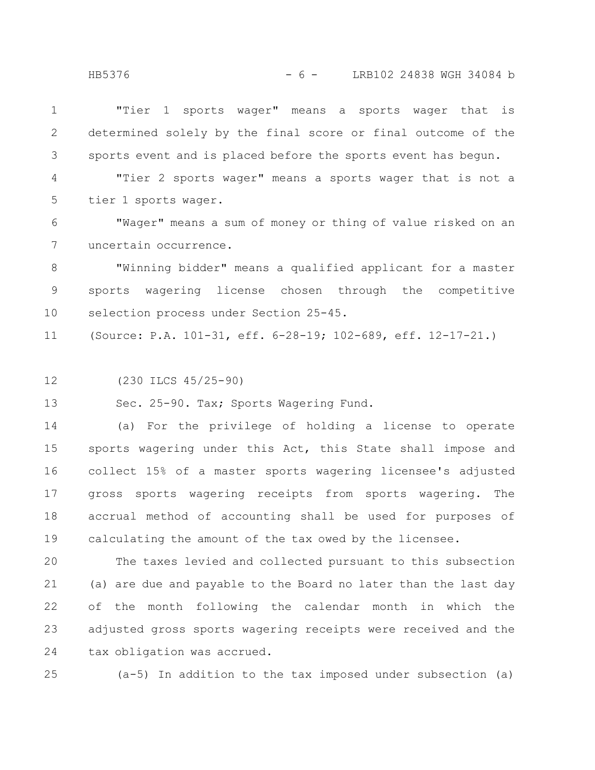| $1 \quad \blacksquare$ |                                                                 |  |  | "Tier 1 sports wager" means a sports wager that is |  |  |
|------------------------|-----------------------------------------------------------------|--|--|----------------------------------------------------|--|--|
|                        | 2 determined solely by the final score or final outcome of the  |  |  |                                                    |  |  |
|                        | 3 sports event and is placed before the sports event has bequn. |  |  |                                                    |  |  |

"Tier 2 sports wager" means a sports wager that is not a tier 1 sports wager. 4 5

"Wager" means a sum of money or thing of value risked on an uncertain occurrence. 6 7

"Winning bidder" means a qualified applicant for a master sports wagering license chosen through the competitive selection process under Section 25-45. 8 9 10

(Source: P.A. 101-31, eff. 6-28-19; 102-689, eff. 12-17-21.) 11

(230 ILCS 45/25-90) 12

Sec. 25-90. Tax; Sports Wagering Fund. 13

(a) For the privilege of holding a license to operate sports wagering under this Act, this State shall impose and collect 15% of a master sports wagering licensee's adjusted gross sports wagering receipts from sports wagering. The accrual method of accounting shall be used for purposes of calculating the amount of the tax owed by the licensee. 14 15 16 17 18 19

The taxes levied and collected pursuant to this subsection (a) are due and payable to the Board no later than the last day of the month following the calendar month in which the adjusted gross sports wagering receipts were received and the tax obligation was accrued. 20 21 22 23 24

(a-5) In addition to the tax imposed under subsection (a) 25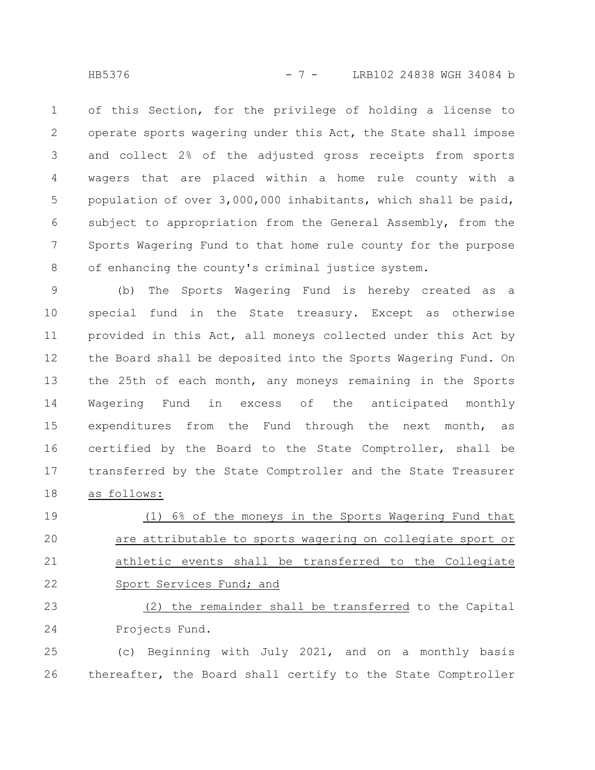HB5376 - 7 - LRB102 24838 WGH 34084 b

of this Section, for the privilege of holding a license to operate sports wagering under this Act, the State shall impose and collect 2% of the adjusted gross receipts from sports wagers that are placed within a home rule county with a population of over 3,000,000 inhabitants, which shall be paid, subject to appropriation from the General Assembly, from the Sports Wagering Fund to that home rule county for the purpose of enhancing the county's criminal justice system. 1 2 3 4 5 6 7 8

(b) The Sports Wagering Fund is hereby created as a special fund in the State treasury. Except as otherwise provided in this Act, all moneys collected under this Act by the Board shall be deposited into the Sports Wagering Fund. On the 25th of each month, any moneys remaining in the Sports Wagering Fund in excess of the anticipated monthly expenditures from the Fund through the next month, as certified by the Board to the State Comptroller, shall be transferred by the State Comptroller and the State Treasurer as follows: 9 10 11 12 13 14 15 16 17 18

(1) 6% of the moneys in the Sports Wagering Fund that are attributable to sports wagering on collegiate sport or athletic events shall be transferred to the Collegiate Sport Services Fund; and 19 20 21 22

(2) the remainder shall be transferred to the Capital Projects Fund. 23 24

(c) Beginning with July 2021, and on a monthly basis thereafter, the Board shall certify to the State Comptroller 25 26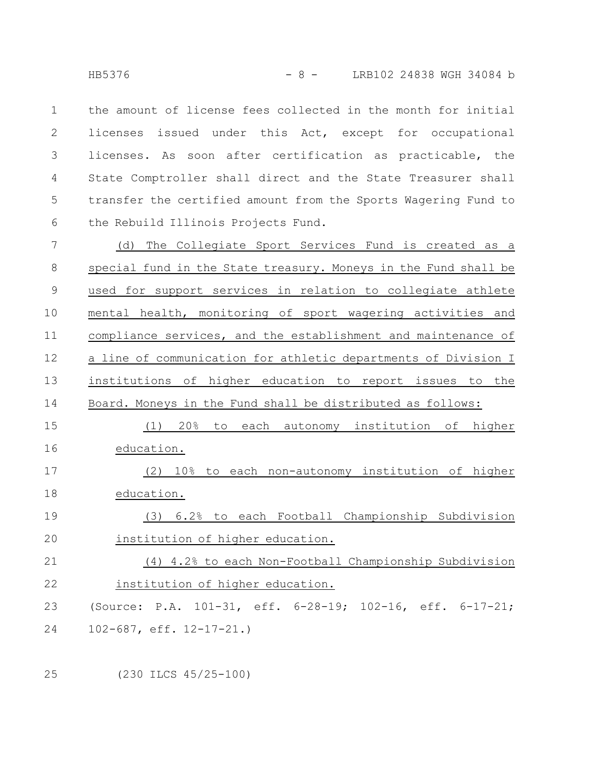the amount of license fees collected in the month for initial licenses issued under this Act, except for occupational licenses. As soon after certification as practicable, the State Comptroller shall direct and the State Treasurer shall transfer the certified amount from the Sports Wagering Fund to the Rebuild Illinois Projects Fund. 1 2 3 4 5 6

(d) The Collegiate Sport Services Fund is created as a special fund in the State treasury. Moneys in the Fund shall be used for support services in relation to collegiate athlete mental health, monitoring of sport wagering activities and compliance services, and the establishment and maintenance of a line of communication for athletic departments of Division I institutions of higher education to report issues to the Board. Moneys in the Fund shall be distributed as follows: (1) 20% to each autonomy institution of higher 7 8 9 10 11 12 13 14 15

education. (2) 10% to each non-autonomy institution of higher 16 17

education. 18

(3) 6.2% to each Football Championship Subdivision institution of higher education. 19 20

(4) 4.2% to each Non-Football Championship Subdivision institution of higher education. (Source: P.A. 101-31, eff. 6-28-19; 102-16, eff. 6-17-21; 21 22 23

102-687, eff. 12-17-21.) 24

25

(230 ILCS 45/25-100)